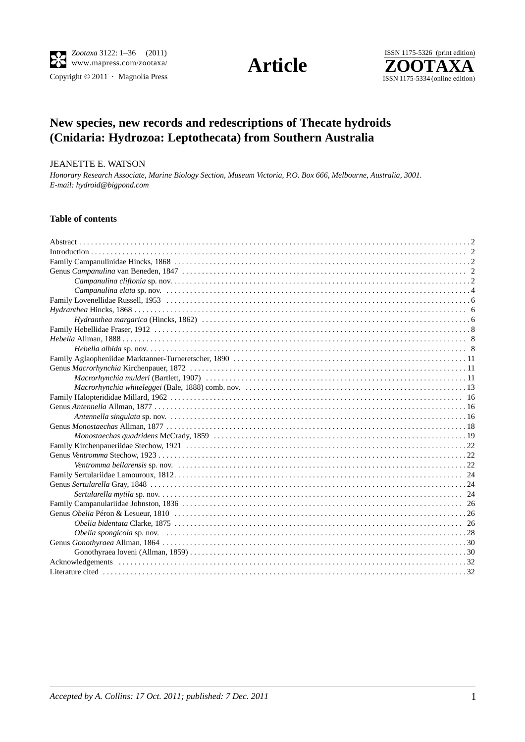$\overline{\text{Copyright} \odot 2011\, \cdot \text{ Magnolia Press}}}$ 

**Article** 



# **New species, new records and redescriptions of Thecate hydroids (Cnidaria: Hydrozoa: Leptothecata) from Southern Australia**

#### JEANETTE E. WATSON

*Honorary Research Associate, Marine Biology Section, Museum Victoria, P.O. Box 666, Melbourne, Australia, 3001. E-mail: hydroid@bigpond.com*

## **Table of contents**